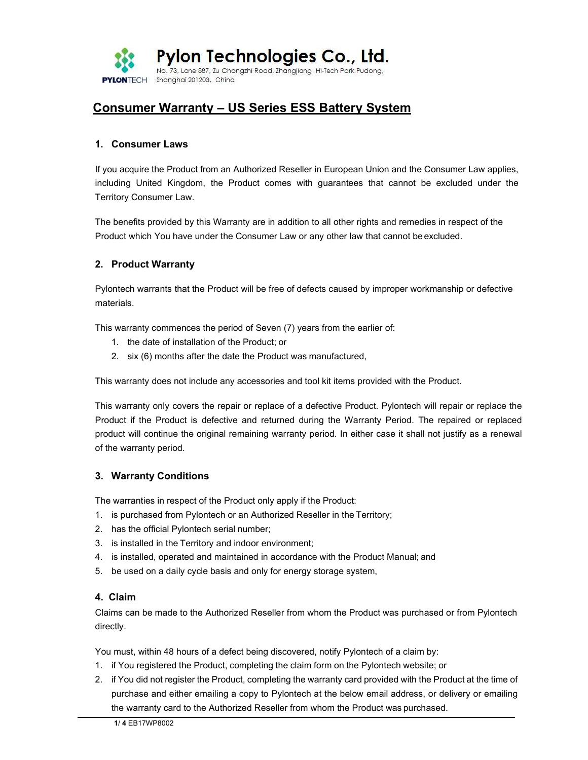

# Consumer Warranty – US Series ESS Battery System

#### 1. Consumer Laws

If you acquire the Product from an Authorized Reseller in European Union and the Consumer Law applies, including United Kingdom, the Product comes with guarantees that cannot be excluded under the Territory Consumer Law.

The benefits provided by this Warranty are in addition to all other rights and remedies in respect of the Product which You have under the Consumer Law or any other law that cannot be excluded.

## 2. Product Warranty

Pylontech warrants that the Product will be free of defects caused by improper workmanship or defective materials.

This warranty commences the period of Seven (7) years from the earlier of:

- 1. the date of installation of the Product; or
- 2. six (6) months after the date the Product was manufactured,

This warranty does not include any accessories and tool kit items provided with the Product.

This warranty only covers the repair or replace of a defective Product. Pylontech will repair or replace the Product if the Product is defective and returned during the Warranty Period. The repaired or replaced product will continue the original remaining warranty period. In either case it shall not justify as a renewal of the warranty period.

## 3. Warranty Conditions

The warranties in respect of the Product only apply if the Product:

- 1. is purchased from Pylontech or an Authorized Reseller in the Territory;
- 2. has the official Pylontech serial number;
- 3. is installed in the Territory and indoor environment;
- 4. is installed, operated and maintained in accordance with the Product Manual; and
- 5. be used on a daily cycle basis and only for energy storage system,

## 4. Claim

Claims can be made to the Authorized Reseller from whom the Product was purchased or from Pylontech directly.

You must, within 48 hours of a defect being discovered, notify Pylontech of a claim by:

- 1. if You registered the Product, completing the claim form on the Pylontech website; or
- 2. if You did not register the Product, completing the warranty card provided with the Product at the time of purchase and either emailing a copy to Pylontech at the below email address, or delivery or emailing the warranty card to the Authorized Reseller from whom the Product was purchased.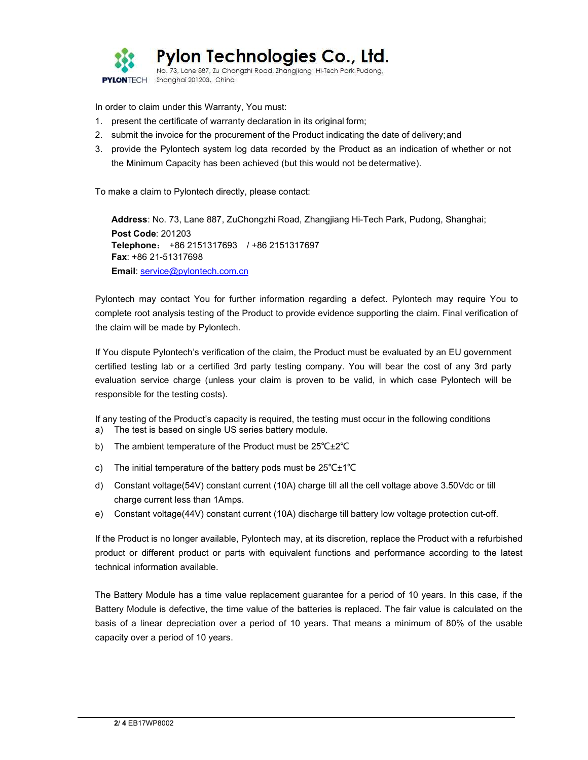

In order to claim under this Warranty, You must:

- 1. present the certificate of warranty declaration in its original form;
- 2. submit the invoice for the procurement of the Product indicating the date of delivery; and
- 3. provide the Pylontech system log data recorded by the Product as an indication of whether or not the Minimum Capacity has been achieved (but this would not be determative).

To make a claim to Pylontech directly, please contact:

Address: No. 73, Lane 887, ZuChongzhi Road, Zhangjiang Hi-Tech Park, Pudong, Shanghai; Post Code: 201203 Telephone: +86 2151317693 / +86 2151317697 Fax: +86 21-51317698 Email: service@pylontech.com.cn

Pylontech may contact You for further information regarding a defect. Pylontech may require You to complete root analysis testing of the Product to provide evidence supporting the claim. Final verification of the claim will be made by Pylontech.

If You dispute Pylontech's verification of the claim, the Product must be evaluated by an EU government certified testing lab or a certified 3rd party testing company. You will bear the cost of any 3rd party evaluation service charge (unless your claim is proven to be valid, in which case Pylontech will be responsible for the testing costs).

If any testing of the Product's capacity is required, the testing must occur in the following conditions

- a) The test is based on single US series battery module.
- b) The ambient temperature of the Product must be 25℃±2℃
- c) The initial temperature of the battery pods must be 25℃±1℃
- d) Constant voltage(54V) constant current (10A) charge till all the cell voltage above 3.50Vdc or till charge current less than 1Amps.
- e) Constant voltage(44V) constant current (10A) discharge till battery low voltage protection cut-off.

If the Product is no longer available, Pylontech may, at its discretion, replace the Product with a refurbished product or different product or parts with equivalent functions and performance according to the latest technical information available.

The Battery Module has a time value replacement guarantee for a period of 10 years. In this case, if the Battery Module is defective, the time value of the batteries is replaced. The fair value is calculated on the basis of a linear depreciation over a period of 10 years. That means a minimum of 80% of the usable capacity over a period of 10 years.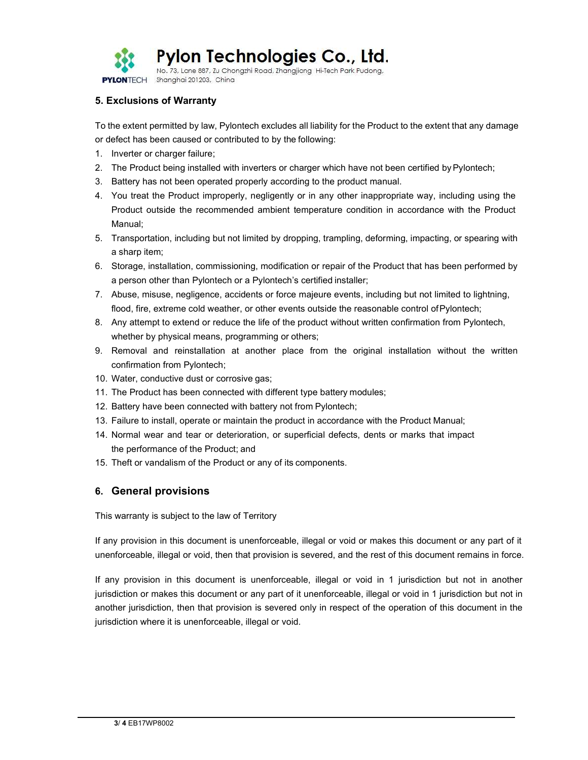

## 5. Exclusions of Warranty

To the extent permitted by law, Pylontech excludes all liability for the Product to the extent that any damage or defect has been caused or contributed to by the following:

- 1. Inverter or charger failure;
- 2. The Product being installed with inverters or charger which have not been certified by Pylontech;
- 3. Battery has not been operated properly according to the product manual.
- 4. You treat the Product improperly, negligently or in any other inappropriate way, including using the Product outside the recommended ambient temperature condition in accordance with the Product Manual;
- 5. Transportation, including but not limited by dropping, trampling, deforming, impacting, or spearing with a sharp item;
- 6. Storage, installation, commissioning, modification or repair of the Product that has been performed by a person other than Pylontech or a Pylontech's certified installer;
- 7. Abuse, misuse, negligence, accidents or force majeure events, including but not limited to lightning, flood, fire, extreme cold weather, or other events outside the reasonable control of Pylontech;
- 8. Any attempt to extend or reduce the life of the product without written confirmation from Pylontech, whether by physical means, programming or others;
- 9. Removal and reinstallation at another place from the original installation without the written confirmation from Pylontech;
- 10. Water, conductive dust or corrosive gas;
- 11. The Product has been connected with different type battery modules;
- 12. Battery have been connected with battery not from Pylontech;
- 13. Failure to install, operate or maintain the product in accordance with the Product Manual;
- 14. Normal wear and tear or deterioration, or superficial defects, dents or marks that impact the performance of the Product; and
- 15. Theft or vandalism of the Product or any of its components.

## 6. General provisions

This warranty is subject to the law of Territory

If any provision in this document is unenforceable, illegal or void or makes this document or any part of it unenforceable, illegal or void, then that provision is severed, and the rest of this document remains in force.

If any provision in this document is unenforceable, illegal or void in 1 jurisdiction but not in another jurisdiction or makes this document or any part of it unenforceable, illegal or void in 1 jurisdiction but not in another jurisdiction, then that provision is severed only in respect of the operation of this document in the jurisdiction where it is unenforceable, illegal or void.